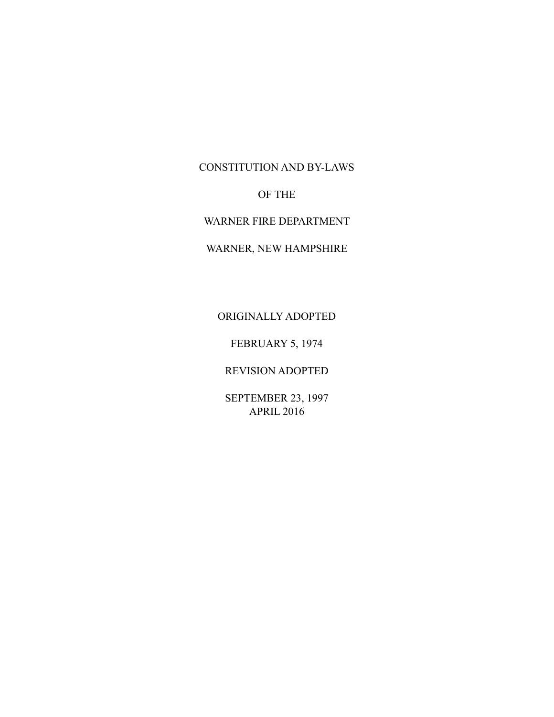### CONSTITUTION AND BY-LAWS

# OF THE

WARNER FIRE DEPARTMENT

# WARNER, NEW HAMPSHIRE

# ORIGINALLY ADOPTED

FEBRUARY 5, 1974

## REVISION ADOPTED

SEPTEMBER 23, 1997 APRIL 2016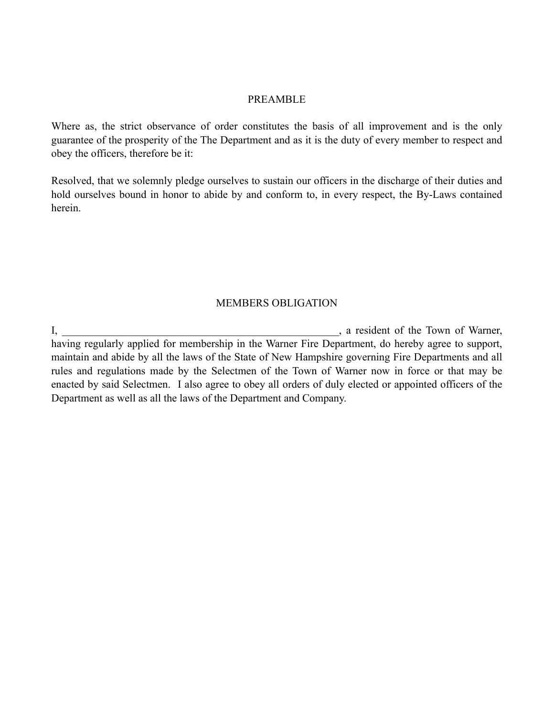#### PREAMBLE

Where as, the strict observance of order constitutes the basis of all improvement and is the only guarantee of the prosperity of the The Department and as it is the duty of every member to respect and obey the officers, therefore be it:

Resolved, that we solemnly pledge ourselves to sustain our officers in the discharge of their duties and hold ourselves bound in honor to abide by and conform to, in every respect, the By-Laws contained herein.

#### MEMBERS OBLIGATION

I, a resident of the Town of Warner, having regularly applied for membership in the Warner Fire Department, do hereby agree to support, maintain and abide by all the laws of the State of New Hampshire governing Fire Departments and all rules and regulations made by the Selectmen of the Town of Warner now in force or that may be enacted by said Selectmen. I also agree to obey all orders of duly elected or appointed officers of the Department as well as all the laws of the Department and Company.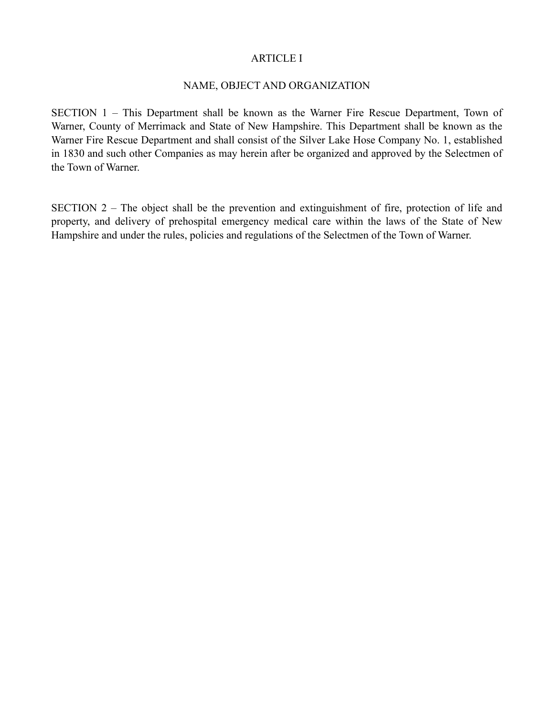#### ARTICLE I

### NAME, OBJECT AND ORGANIZATION

SECTION 1 – This Department shall be known as the Warner Fire Rescue Department, Town of Warner, County of Merrimack and State of New Hampshire. This Department shall be known as the Warner Fire Rescue Department and shall consist of the Silver Lake Hose Company No. 1, established in 1830 and such other Companies as may herein after be organized and approved by the Selectmen of the Town of Warner.

SECTION 2 – The object shall be the prevention and extinguishment of fire, protection of life and property, and delivery of prehospital emergency medical care within the laws of the State of New Hampshire and under the rules, policies and regulations of the Selectmen of the Town of Warner.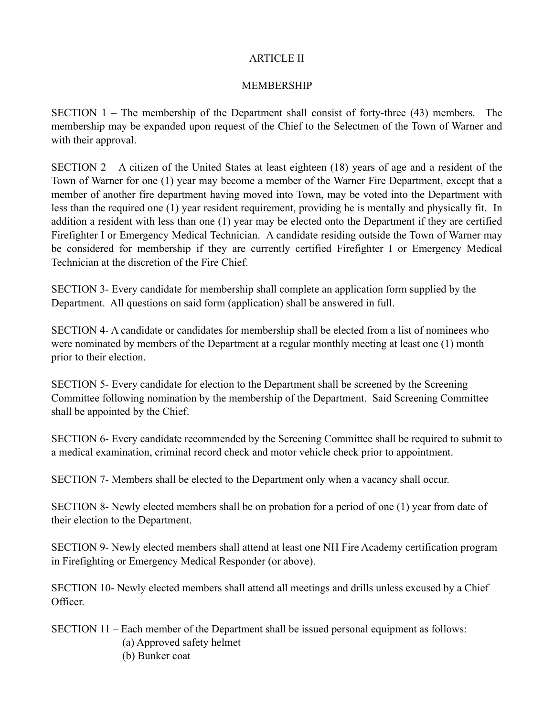### ARTICLE II

## MEMBERSHIP

SECTION 1 – The membership of the Department shall consist of forty-three (43) members. The membership may be expanded upon request of the Chief to the Selectmen of the Town of Warner and with their approval.

SECTION  $2 - A$  citizen of the United States at least eighteen (18) years of age and a resident of the Town of Warner for one (1) year may become a member of the Warner Fire Department, except that a member of another fire department having moved into Town, may be voted into the Department with less than the required one (1) year resident requirement, providing he is mentally and physically fit. In addition a resident with less than one (1) year may be elected onto the Department if they are certified Firefighter I or Emergency Medical Technician. A candidate residing outside the Town of Warner may be considered for membership if they are currently certified Firefighter I or Emergency Medical Technician at the discretion of the Fire Chief.

SECTION 3- Every candidate for membership shall complete an application form supplied by the Department. All questions on said form (application) shall be answered in full.

SECTION 4- A candidate or candidates for membership shall be elected from a list of nominees who were nominated by members of the Department at a regular monthly meeting at least one (1) month prior to their election.

SECTION 5- Every candidate for election to the Department shall be screened by the Screening Committee following nomination by the membership of the Department. Said Screening Committee shall be appointed by the Chief.

SECTION 6- Every candidate recommended by the Screening Committee shall be required to submit to a medical examination, criminal record check and motor vehicle check prior to appointment.

SECTION 7- Members shall be elected to the Department only when a vacancy shall occur.

SECTION 8- Newly elected members shall be on probation for a period of one (1) year from date of their election to the Department.

SECTION 9- Newly elected members shall attend at least one NH Fire Academy certification program in Firefighting or Emergency Medical Responder (or above).

SECTION 10- Newly elected members shall attend all meetings and drills unless excused by a Chief Officer.

SECTION 11 – Each member of the Department shall be issued personal equipment as follows: (a) Approved safety helmet (b) Bunker coat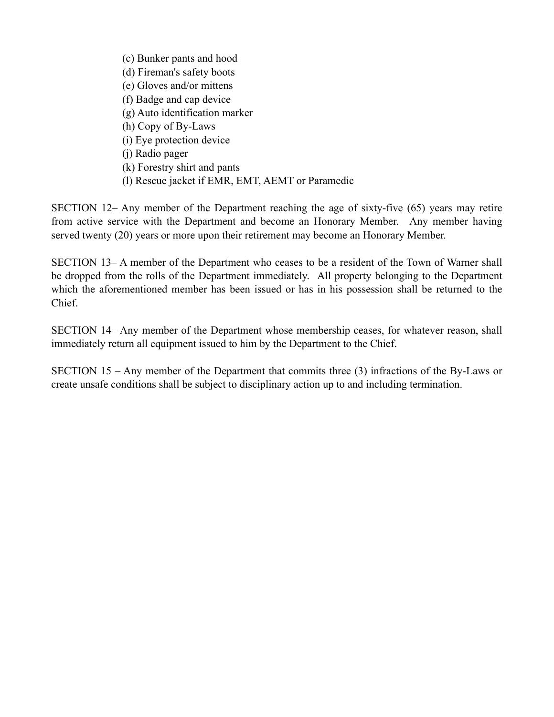(c) Bunker pants and hood (d) Fireman's safety boots (e) Gloves and/or mittens (f) Badge and cap device (g) Auto identification marker (h) Copy of By-Laws (i) Eye protection device (j) Radio pager (k) Forestry shirt and pants (l) Rescue jacket if EMR, EMT, AEMT or Paramedic

SECTION 12– Any member of the Department reaching the age of sixty-five (65) years may retire from active service with the Department and become an Honorary Member. Any member having served twenty (20) years or more upon their retirement may become an Honorary Member.

SECTION 13– A member of the Department who ceases to be a resident of the Town of Warner shall be dropped from the rolls of the Department immediately. All property belonging to the Department which the aforementioned member has been issued or has in his possession shall be returned to the Chief.

SECTION 14– Any member of the Department whose membership ceases, for whatever reason, shall immediately return all equipment issued to him by the Department to the Chief.

SECTION 15 – Any member of the Department that commits three (3) infractions of the By-Laws or create unsafe conditions shall be subject to disciplinary action up to and including termination.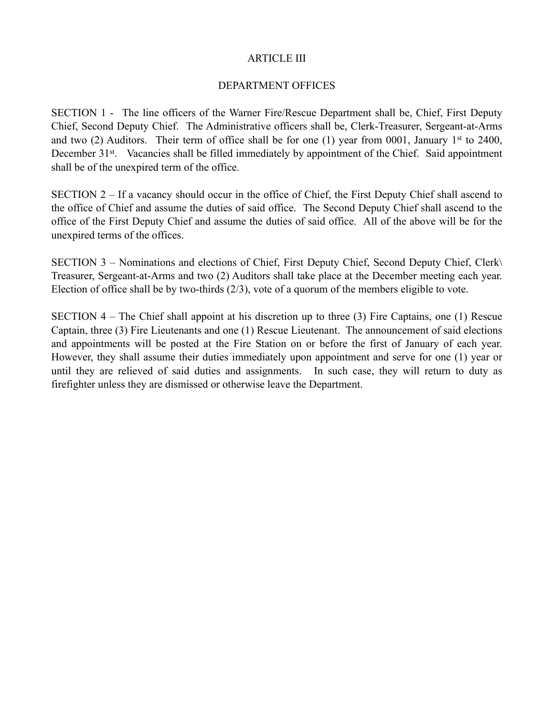#### ARTICLE III

### DEPARTMENT OFFICES

SECTION 1 - The line officers of the Warner Fire/Rescue Department shall be, Chief, First Deputy Chief, Second Deputy Chief. The Administrative officers shall be, Clerk-Treasurer, Sergeant-at-Arms and two (2) Auditors. Their term of office shall be for one (1) year from 0001, January 1<sup>st</sup> to 2400, December 31<sup>st</sup>. Vacancies shall be filled immediately by appointment of the Chief. Said appointment shall be of the unexpired term of the office.

SECTION 2 – If a vacancy should occur in the office of Chief, the First Deputy Chief shall ascend to the office of Chief and assume the duties of said office. The Second Deputy Chief shall ascend to the office of the First Deputy Chief and assume the duties of said office. All of the above will be for the unexpired terms of the offices.

SECTION 3 – Nominations and elections of Chief, First Deputy Chief, Second Deputy Chief, Clerk\ Treasurer, Sergeant-at-Arms and two (2) Auditors shall take place at the December meeting each year. Election of office shall be by two-thirds (2/3), vote of a quorum of the members eligible to vote.

SECTION 4 – The Chief shall appoint at his discretion up to three (3) Fire Captains, one (1) Rescue Captain, three (3) Fire Lieutenants and one (1) Rescue Lieutenant. The announcement of said elections and appointments will be posted at the Fire Station on or before the first of January of each year. However, they shall assume their duties immediately upon appointment and serve for one (1) year or until they are relieved of said duties and assignments. In such case, they will return to duty as firefighter unless they are dismissed or otherwise leave the Department.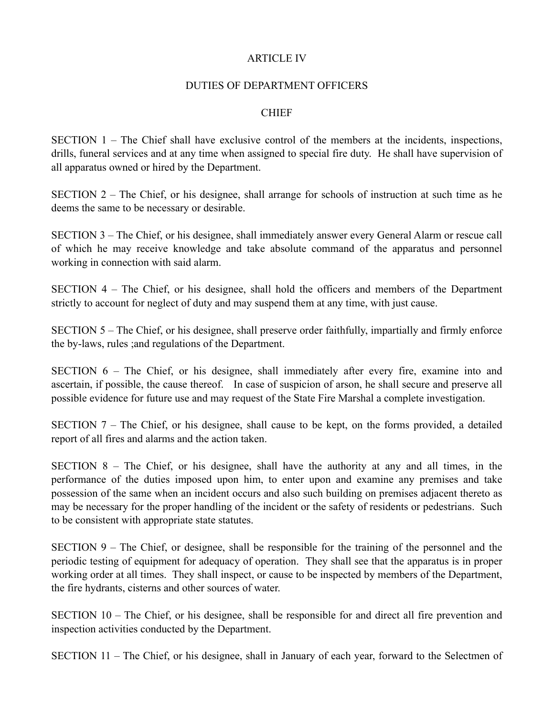#### ARTICLE IV

#### DUTIES OF DEPARTMENT OFFICERS

### **CHIEF**

SECTION 1 – The Chief shall have exclusive control of the members at the incidents, inspections, drills, funeral services and at any time when assigned to special fire duty. He shall have supervision of all apparatus owned or hired by the Department.

SECTION 2 – The Chief, or his designee, shall arrange for schools of instruction at such time as he deems the same to be necessary or desirable.

SECTION 3 – The Chief, or his designee, shall immediately answer every General Alarm or rescue call of which he may receive knowledge and take absolute command of the apparatus and personnel working in connection with said alarm.

SECTION 4 – The Chief, or his designee, shall hold the officers and members of the Department strictly to account for neglect of duty and may suspend them at any time, with just cause.

SECTION 5 – The Chief, or his designee, shall preserve order faithfully, impartially and firmly enforce the by-laws, rules ;and regulations of the Department.

SECTION 6 – The Chief, or his designee, shall immediately after every fire, examine into and ascertain, if possible, the cause thereof. In case of suspicion of arson, he shall secure and preserve all possible evidence for future use and may request of the State Fire Marshal a complete investigation.

SECTION 7 – The Chief, or his designee, shall cause to be kept, on the forms provided, a detailed report of all fires and alarms and the action taken.

SECTION 8 – The Chief, or his designee, shall have the authority at any and all times, in the performance of the duties imposed upon him, to enter upon and examine any premises and take possession of the same when an incident occurs and also such building on premises adjacent thereto as may be necessary for the proper handling of the incident or the safety of residents or pedestrians. Such to be consistent with appropriate state statutes.

SECTION 9 – The Chief, or designee, shall be responsible for the training of the personnel and the periodic testing of equipment for adequacy of operation. They shall see that the apparatus is in proper working order at all times. They shall inspect, or cause to be inspected by members of the Department, the fire hydrants, cisterns and other sources of water.

SECTION 10 – The Chief, or his designee, shall be responsible for and direct all fire prevention and inspection activities conducted by the Department.

SECTION 11 – The Chief, or his designee, shall in January of each year, forward to the Selectmen of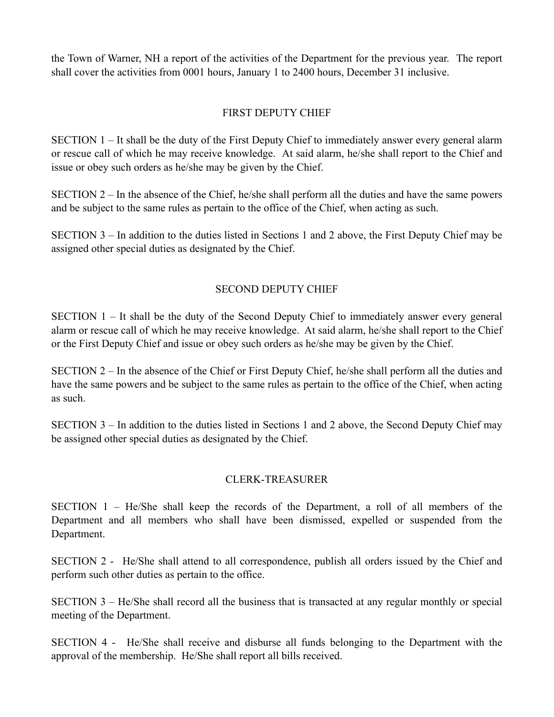the Town of Warner, NH a report of the activities of the Department for the previous year. The report shall cover the activities from 0001 hours, January 1 to 2400 hours, December 31 inclusive.

## FIRST DEPUTY CHIEF

SECTION 1 – It shall be the duty of the First Deputy Chief to immediately answer every general alarm or rescue call of which he may receive knowledge. At said alarm, he/she shall report to the Chief and issue or obey such orders as he/she may be given by the Chief.

SECTION 2 – In the absence of the Chief, he/she shall perform all the duties and have the same powers and be subject to the same rules as pertain to the office of the Chief, when acting as such.

SECTION 3 – In addition to the duties listed in Sections 1 and 2 above, the First Deputy Chief may be assigned other special duties as designated by the Chief.

## SECOND DEPUTY CHIEF

SECTION 1 – It shall be the duty of the Second Deputy Chief to immediately answer every general alarm or rescue call of which he may receive knowledge. At said alarm, he/she shall report to the Chief or the First Deputy Chief and issue or obey such orders as he/she may be given by the Chief.

SECTION 2 – In the absence of the Chief or First Deputy Chief, he/she shall perform all the duties and have the same powers and be subject to the same rules as pertain to the office of the Chief, when acting as such.

SECTION 3 – In addition to the duties listed in Sections 1 and 2 above, the Second Deputy Chief may be assigned other special duties as designated by the Chief.

## CLERK-TREASURER

SECTION 1 – He/She shall keep the records of the Department, a roll of all members of the Department and all members who shall have been dismissed, expelled or suspended from the Department.

SECTION 2 - He/She shall attend to all correspondence, publish all orders issued by the Chief and perform such other duties as pertain to the office.

SECTION 3 – He/She shall record all the business that is transacted at any regular monthly or special meeting of the Department.

SECTION 4 - He/She shall receive and disburse all funds belonging to the Department with the approval of the membership. He/She shall report all bills received.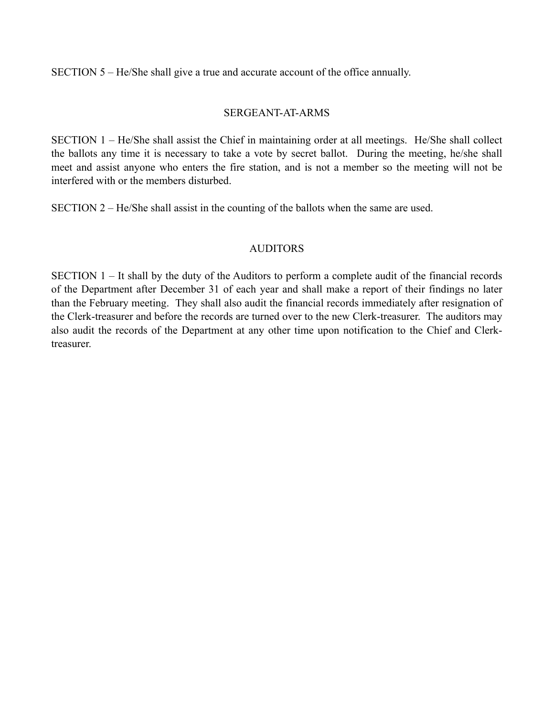SECTION 5 – He/She shall give a true and accurate account of the office annually.

## SERGEANT-AT-ARMS

SECTION 1 – He/She shall assist the Chief in maintaining order at all meetings. He/She shall collect the ballots any time it is necessary to take a vote by secret ballot. During the meeting, he/she shall meet and assist anyone who enters the fire station, and is not a member so the meeting will not be interfered with or the members disturbed.

SECTION 2 – He/She shall assist in the counting of the ballots when the same are used.

## AUDITORS

SECTION 1 – It shall by the duty of the Auditors to perform a complete audit of the financial records of the Department after December 31 of each year and shall make a report of their findings no later than the February meeting. They shall also audit the financial records immediately after resignation of the Clerk-treasurer and before the records are turned over to the new Clerk-treasurer. The auditors may also audit the records of the Department at any other time upon notification to the Chief and Clerktreasurer.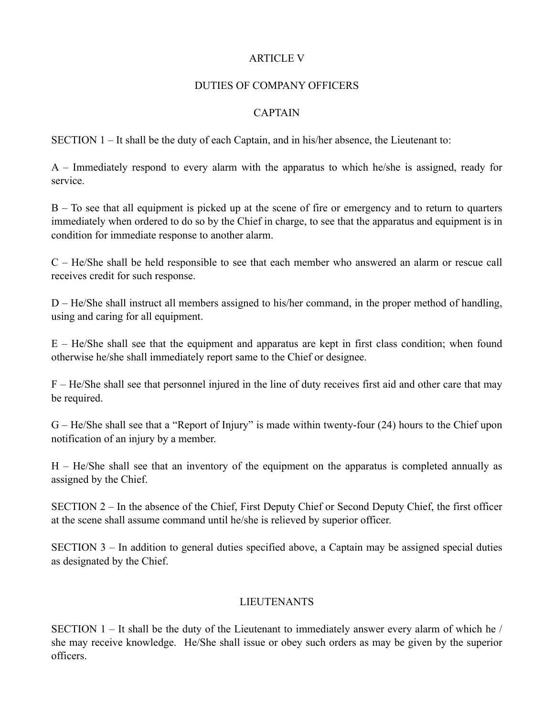## **ARTICLE V**

#### DUTIES OF COMPANY OFFICERS

## **CAPTAIN**

SECTION 1 – It shall be the duty of each Captain, and in his/her absence, the Lieutenant to:

A – Immediately respond to every alarm with the apparatus to which he/she is assigned, ready for service.

B – To see that all equipment is picked up at the scene of fire or emergency and to return to quarters immediately when ordered to do so by the Chief in charge, to see that the apparatus and equipment is in condition for immediate response to another alarm.

C – He/She shall be held responsible to see that each member who answered an alarm or rescue call receives credit for such response.

D – He/She shall instruct all members assigned to his/her command, in the proper method of handling, using and caring for all equipment.

E – He/She shall see that the equipment and apparatus are kept in first class condition; when found otherwise he/she shall immediately report same to the Chief or designee.

F – He/She shall see that personnel injured in the line of duty receives first aid and other care that may be required.

G – He/She shall see that a "Report of Injury" is made within twenty-four (24) hours to the Chief upon notification of an injury by a member.

H – He/She shall see that an inventory of the equipment on the apparatus is completed annually as assigned by the Chief.

SECTION 2 – In the absence of the Chief, First Deputy Chief or Second Deputy Chief, the first officer at the scene shall assume command until he/she is relieved by superior officer.

SECTION 3 – In addition to general duties specified above, a Captain may be assigned special duties as designated by the Chief.

# LIEUTENANTS

SECTION  $1 -$  It shall be the duty of the Lieutenant to immediately answer every alarm of which he / she may receive knowledge. He/She shall issue or obey such orders as may be given by the superior officers.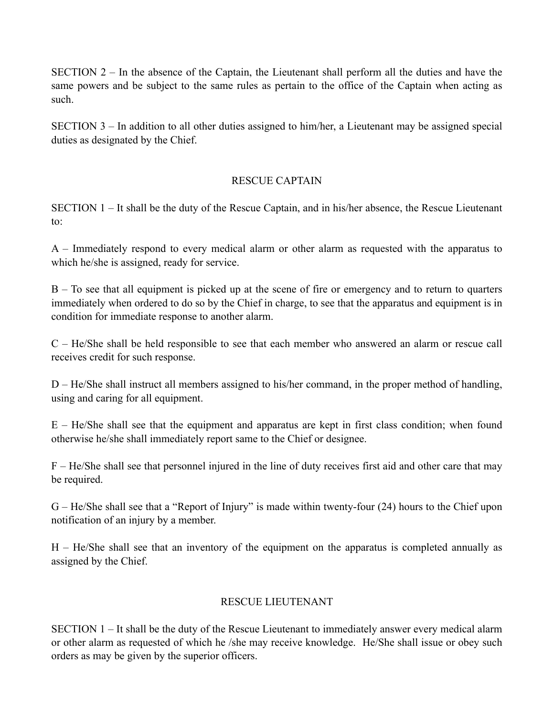SECTION 2 – In the absence of the Captain, the Lieutenant shall perform all the duties and have the same powers and be subject to the same rules as pertain to the office of the Captain when acting as such.

SECTION 3 – In addition to all other duties assigned to him/her, a Lieutenant may be assigned special duties as designated by the Chief.

## RESCUE CAPTAIN

SECTION 1 – It shall be the duty of the Rescue Captain, and in his/her absence, the Rescue Lieutenant to:

A – Immediately respond to every medical alarm or other alarm as requested with the apparatus to which he/she is assigned, ready for service.

B – To see that all equipment is picked up at the scene of fire or emergency and to return to quarters immediately when ordered to do so by the Chief in charge, to see that the apparatus and equipment is in condition for immediate response to another alarm.

C – He/She shall be held responsible to see that each member who answered an alarm or rescue call receives credit for such response.

D – He/She shall instruct all members assigned to his/her command, in the proper method of handling, using and caring for all equipment.

E – He/She shall see that the equipment and apparatus are kept in first class condition; when found otherwise he/she shall immediately report same to the Chief or designee.

F – He/She shall see that personnel injured in the line of duty receives first aid and other care that may be required.

G – He/She shall see that a "Report of Injury" is made within twenty-four (24) hours to the Chief upon notification of an injury by a member.

H – He/She shall see that an inventory of the equipment on the apparatus is completed annually as assigned by the Chief.

# RESCUE LIEUTENANT

SECTION 1 – It shall be the duty of the Rescue Lieutenant to immediately answer every medical alarm or other alarm as requested of which he /she may receive knowledge. He/She shall issue or obey such orders as may be given by the superior officers.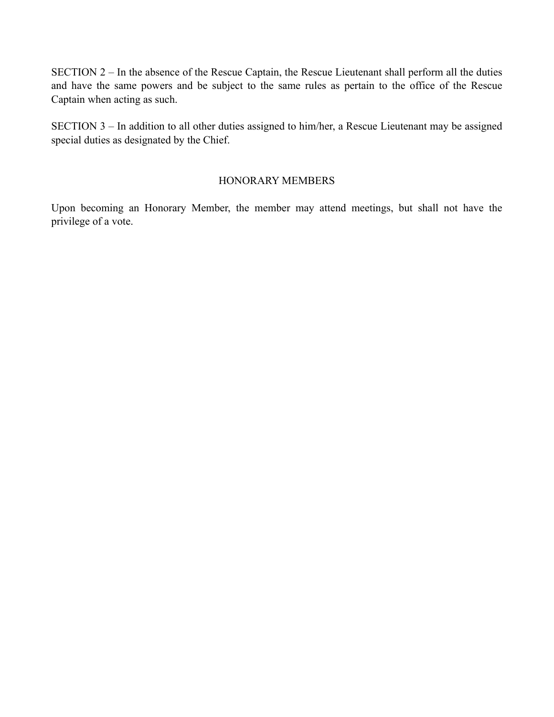SECTION 2 – In the absence of the Rescue Captain, the Rescue Lieutenant shall perform all the duties and have the same powers and be subject to the same rules as pertain to the office of the Rescue Captain when acting as such.

SECTION 3 – In addition to all other duties assigned to him/her, a Rescue Lieutenant may be assigned special duties as designated by the Chief.

### HONORARY MEMBERS

Upon becoming an Honorary Member, the member may attend meetings, but shall not have the privilege of a vote.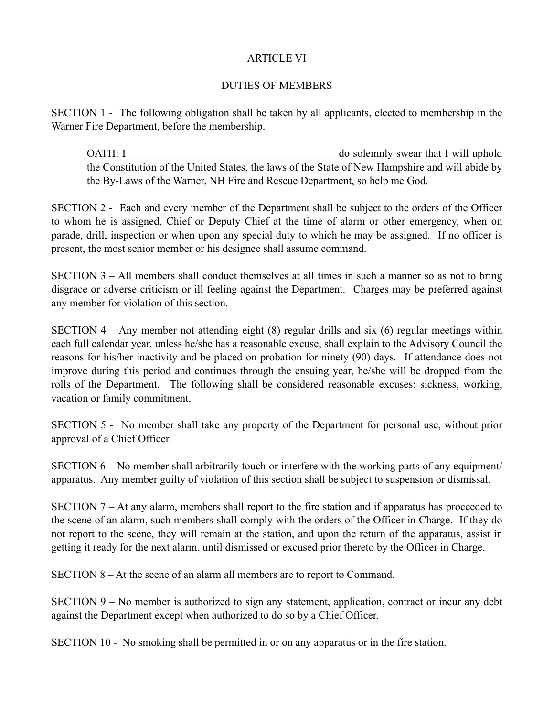#### ARTICLE VI

## DUTIES OF MEMBERS

SECTION 1 - The following obligation shall be taken by all applicants, elected to membership in the Warner Fire Department, before the membership.

OATH: I **I EXECUTE:** I **Solendary swear that I will uphold** the Constitution of the United States, the laws of the State of New Hampshire and will abide by the By-Laws of the Warner, NH Fire and Rescue Department, so help me God.

SECTION 2 - Each and every member of the Department shall be subject to the orders of the Officer to whom he is assigned, Chief or Deputy Chief at the time of alarm or other emergency, when on parade, drill, inspection or when upon any special duty to which he may be assigned. If no officer is present, the most senior member or his designee shall assume command.

SECTION 3 – All members shall conduct themselves at all times in such a manner so as not to bring disgrace or adverse criticism or ill feeling against the Department. Charges may be preferred against any member for violation of this section.

SECTION  $4 - Any member not attending eight (8) regular drill and six (6) regular meetings within$ each full calendar year, unless he/she has a reasonable excuse, shall explain to the Advisory Council the reasons for his/her inactivity and be placed on probation for ninety (90) days. If attendance does not improve during this period and continues through the ensuing year, he/she will be dropped from the rolls of the Department. The following shall be considered reasonable excuses: sickness, working, vacation or family commitment.

SECTION 5 - No member shall take any property of the Department for personal use, without prior approval of a Chief Officer.

SECTION 6 – No member shall arbitrarily touch or interfere with the working parts of any equipment/ apparatus. Any member guilty of violation of this section shall be subject to suspension or dismissal.

SECTION 7 – At any alarm, members shall report to the fire station and if apparatus has proceeded to the scene of an alarm, such members shall comply with the orders of the Officer in Charge. If they do not report to the scene, they will remain at the station, and upon the return of the apparatus, assist in getting it ready for the next alarm, until dismissed or excused prior thereto by the Officer in Charge.

SECTION 8 – At the scene of an alarm all members are to report to Command.

SECTION 9 – No member is authorized to sign any statement, application, contract or incur any debt against the Department except when authorized to do so by a Chief Officer.

SECTION 10 - No smoking shall be permitted in or on any apparatus or in the fire station.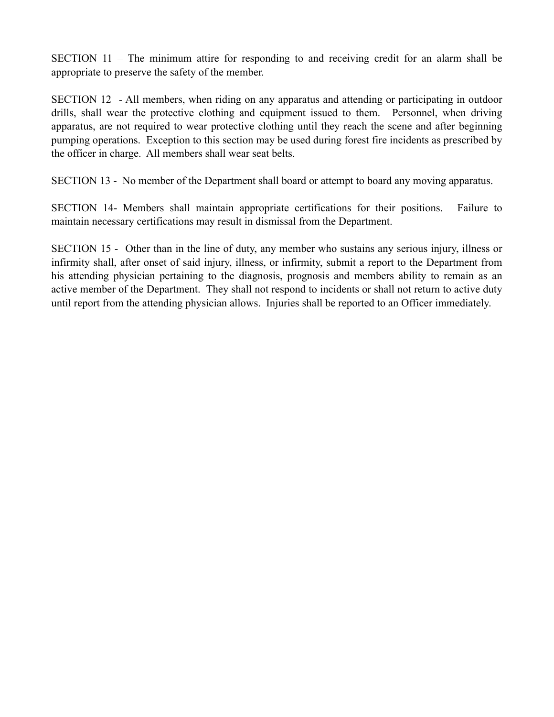SECTION 11 – The minimum attire for responding to and receiving credit for an alarm shall be appropriate to preserve the safety of the member.

SECTION 12 - All members, when riding on any apparatus and attending or participating in outdoor drills, shall wear the protective clothing and equipment issued to them. Personnel, when driving apparatus, are not required to wear protective clothing until they reach the scene and after beginning pumping operations. Exception to this section may be used during forest fire incidents as prescribed by the officer in charge. All members shall wear seat belts.

SECTION 13 - No member of the Department shall board or attempt to board any moving apparatus.

SECTION 14- Members shall maintain appropriate certifications for their positions. Failure to maintain necessary certifications may result in dismissal from the Department.

SECTION 15 - Other than in the line of duty, any member who sustains any serious injury, illness or infirmity shall, after onset of said injury, illness, or infirmity, submit a report to the Department from his attending physician pertaining to the diagnosis, prognosis and members ability to remain as an active member of the Department. They shall not respond to incidents or shall not return to active duty until report from the attending physician allows. Injuries shall be reported to an Officer immediately.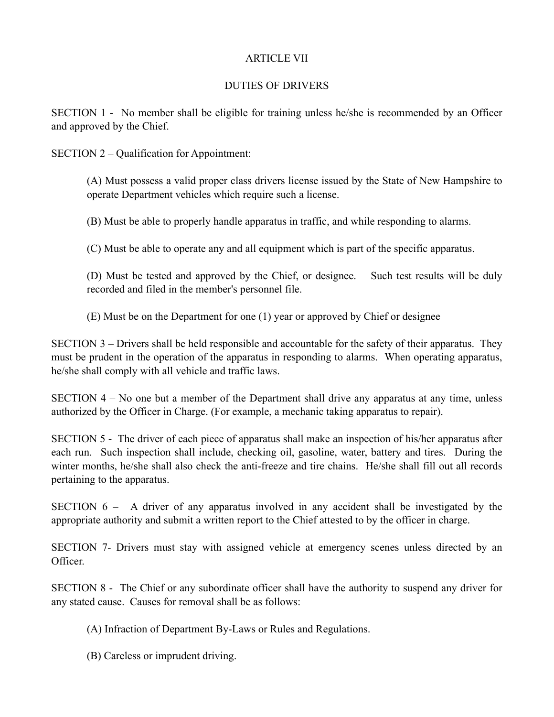## ARTICLE VII

## DUTIES OF DRIVERS

SECTION 1 - No member shall be eligible for training unless he/she is recommended by an Officer and approved by the Chief.

SECTION 2 – Qualification for Appointment:

(A) Must possess a valid proper class drivers license issued by the State of New Hampshire to operate Department vehicles which require such a license.

(B) Must be able to properly handle apparatus in traffic, and while responding to alarms.

(C) Must be able to operate any and all equipment which is part of the specific apparatus.

(D) Must be tested and approved by the Chief, or designee. Such test results will be duly recorded and filed in the member's personnel file.

(E) Must be on the Department for one (1) year or approved by Chief or designee

SECTION 3 – Drivers shall be held responsible and accountable for the safety of their apparatus. They must be prudent in the operation of the apparatus in responding to alarms. When operating apparatus, he/she shall comply with all vehicle and traffic laws.

SECTION 4 – No one but a member of the Department shall drive any apparatus at any time, unless authorized by the Officer in Charge. (For example, a mechanic taking apparatus to repair).

SECTION 5 - The driver of each piece of apparatus shall make an inspection of his/her apparatus after each run. Such inspection shall include, checking oil, gasoline, water, battery and tires. During the winter months, he/she shall also check the anti-freeze and tire chains. He/she shall fill out all records pertaining to the apparatus.

SECTION 6 – A driver of any apparatus involved in any accident shall be investigated by the appropriate authority and submit a written report to the Chief attested to by the officer in charge.

SECTION 7- Drivers must stay with assigned vehicle at emergency scenes unless directed by an Officer.

SECTION 8 - The Chief or any subordinate officer shall have the authority to suspend any driver for any stated cause. Causes for removal shall be as follows:

(A) Infraction of Department By-Laws or Rules and Regulations.

(B) Careless or imprudent driving.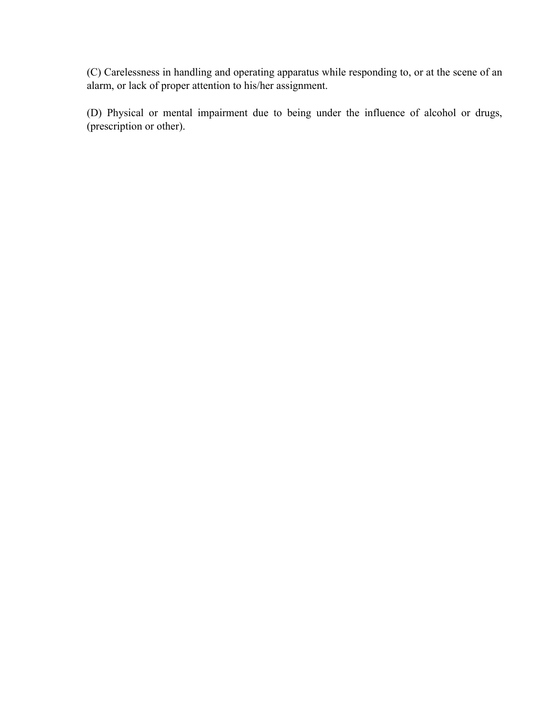(C) Carelessness in handling and operating apparatus while responding to, or at the scene of an alarm, or lack of proper attention to his/her assignment.

(D) Physical or mental impairment due to being under the influence of alcohol or drugs, (prescription or other).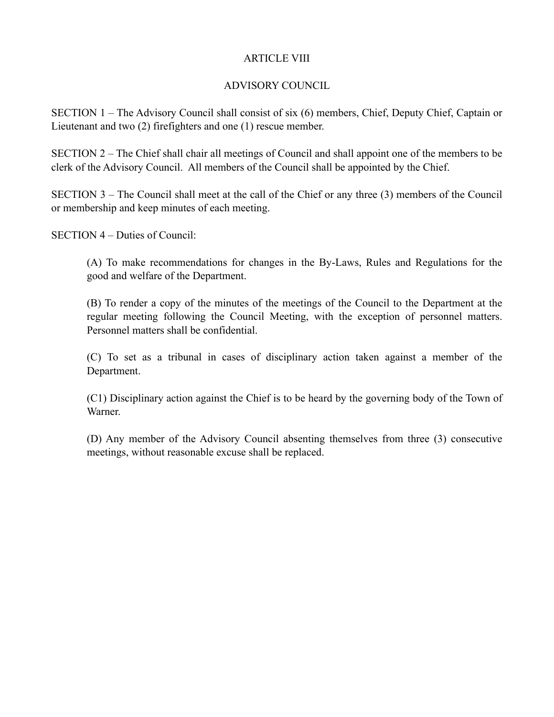#### ARTICLE VIII

## ADVISORY COUNCIL

SECTION 1 – The Advisory Council shall consist of six (6) members, Chief, Deputy Chief, Captain or Lieutenant and two (2) firefighters and one (1) rescue member.

SECTION 2 – The Chief shall chair all meetings of Council and shall appoint one of the members to be clerk of the Advisory Council. All members of the Council shall be appointed by the Chief.

SECTION 3 – The Council shall meet at the call of the Chief or any three (3) members of the Council or membership and keep minutes of each meeting.

SECTION 4 – Duties of Council:

(A) To make recommendations for changes in the By-Laws, Rules and Regulations for the good and welfare of the Department.

(B) To render a copy of the minutes of the meetings of the Council to the Department at the regular meeting following the Council Meeting, with the exception of personnel matters. Personnel matters shall be confidential.

(C) To set as a tribunal in cases of disciplinary action taken against a member of the Department.

(C1) Disciplinary action against the Chief is to be heard by the governing body of the Town of Warner.

(D) Any member of the Advisory Council absenting themselves from three (3) consecutive meetings, without reasonable excuse shall be replaced.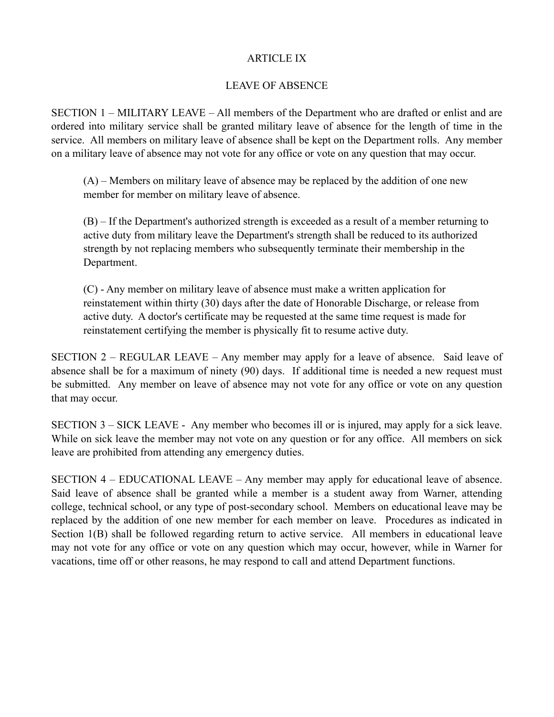### ARTICLE IX

## LEAVE OF ABSENCE

SECTION 1 – MILITARY LEAVE – All members of the Department who are drafted or enlist and are ordered into military service shall be granted military leave of absence for the length of time in the service. All members on military leave of absence shall be kept on the Department rolls. Any member on a military leave of absence may not vote for any office or vote on any question that may occur.

 (A) – Members on military leave of absence may be replaced by the addition of one new member for member on military leave of absence.

 (B) – If the Department's authorized strength is exceeded as a result of a member returning to active duty from military leave the Department's strength shall be reduced to its authorized strength by not replacing members who subsequently terminate their membership in the Department.

 (C) - Any member on military leave of absence must make a written application for reinstatement within thirty (30) days after the date of Honorable Discharge, or release from active duty. A doctor's certificate may be requested at the same time request is made for reinstatement certifying the member is physically fit to resume active duty.

SECTION 2 – REGULAR LEAVE – Any member may apply for a leave of absence. Said leave of absence shall be for a maximum of ninety (90) days. If additional time is needed a new request must be submitted. Any member on leave of absence may not vote for any office or vote on any question that may occur.

SECTION 3 – SICK LEAVE - Any member who becomes ill or is injured, may apply for a sick leave. While on sick leave the member may not vote on any question or for any office. All members on sick leave are prohibited from attending any emergency duties.

SECTION 4 – EDUCATIONAL LEAVE – Any member may apply for educational leave of absence. Said leave of absence shall be granted while a member is a student away from Warner, attending college, technical school, or any type of post-secondary school. Members on educational leave may be replaced by the addition of one new member for each member on leave. Procedures as indicated in Section 1(B) shall be followed regarding return to active service. All members in educational leave may not vote for any office or vote on any question which may occur, however, while in Warner for vacations, time off or other reasons, he may respond to call and attend Department functions.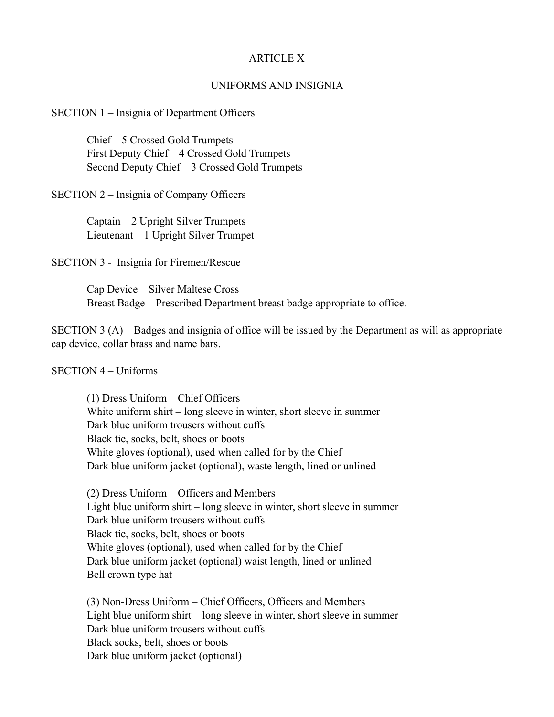#### ARTICLE X

#### UNIFORMS AND INSIGNIA

#### SECTION 1 – Insignia of Department Officers

Chief – 5 Crossed Gold Trumpets First Deputy Chief – 4 Crossed Gold Trumpets Second Deputy Chief – 3 Crossed Gold Trumpets

SECTION 2 – Insignia of Company Officers

Captain – 2 Upright Silver Trumpets Lieutenant – 1 Upright Silver Trumpet

SECTION 3 - Insignia for Firemen/Rescue

Cap Device – Silver Maltese Cross Breast Badge – Prescribed Department breast badge appropriate to office.

SECTION 3 (A) – Badges and insignia of office will be issued by the Department as will as appropriate cap device, collar brass and name bars.

#### SECTION 4 – Uniforms

(1) Dress Uniform – Chief Officers White uniform shirt – long sleeve in winter, short sleeve in summer Dark blue uniform trousers without cuffs Black tie, socks, belt, shoes or boots White gloves (optional), used when called for by the Chief Dark blue uniform jacket (optional), waste length, lined or unlined

(2) Dress Uniform – Officers and Members Light blue uniform shirt – long sleeve in winter, short sleeve in summer Dark blue uniform trousers without cuffs Black tie, socks, belt, shoes or boots White gloves (optional), used when called for by the Chief Dark blue uniform jacket (optional) waist length, lined or unlined Bell crown type hat

(3) Non-Dress Uniform – Chief Officers, Officers and Members Light blue uniform shirt – long sleeve in winter, short sleeve in summer Dark blue uniform trousers without cuffs Black socks, belt, shoes or boots Dark blue uniform jacket (optional)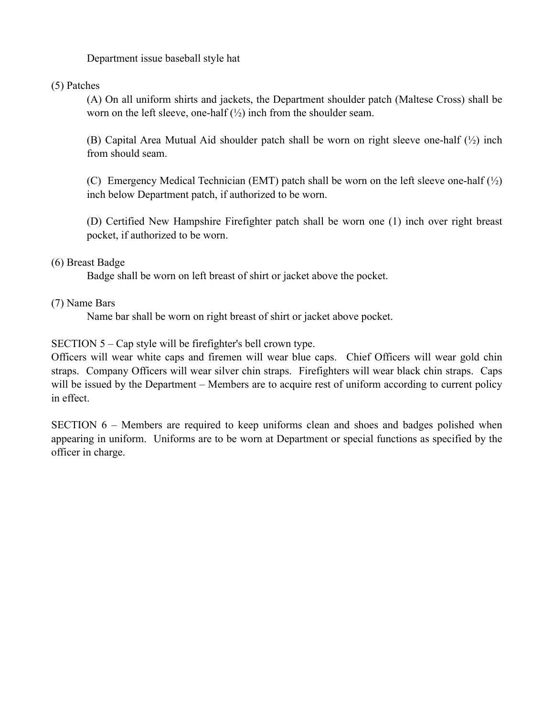Department issue baseball style hat

(5) Patches

(A) On all uniform shirts and jackets, the Department shoulder patch (Maltese Cross) shall be worn on the left sleeve, one-half  $(\frac{1}{2})$  inch from the shoulder seam.

(B) Capital Area Mutual Aid shoulder patch shall be worn on right sleeve one-half (½) inch from should seam.

(C) Emergency Medical Technician (EMT) patch shall be worn on the left sleeve one-half  $\binom{1}{2}$ inch below Department patch, if authorized to be worn.

(D) Certified New Hampshire Firefighter patch shall be worn one (1) inch over right breast pocket, if authorized to be worn.

## (6) Breast Badge

Badge shall be worn on left breast of shirt or jacket above the pocket.

## (7) Name Bars

Name bar shall be worn on right breast of shirt or jacket above pocket.

SECTION 5 – Cap style will be firefighter's bell crown type.

Officers will wear white caps and firemen will wear blue caps. Chief Officers will wear gold chin straps. Company Officers will wear silver chin straps. Firefighters will wear black chin straps. Caps will be issued by the Department – Members are to acquire rest of uniform according to current policy in effect.

SECTION 6 – Members are required to keep uniforms clean and shoes and badges polished when appearing in uniform. Uniforms are to be worn at Department or special functions as specified by the officer in charge.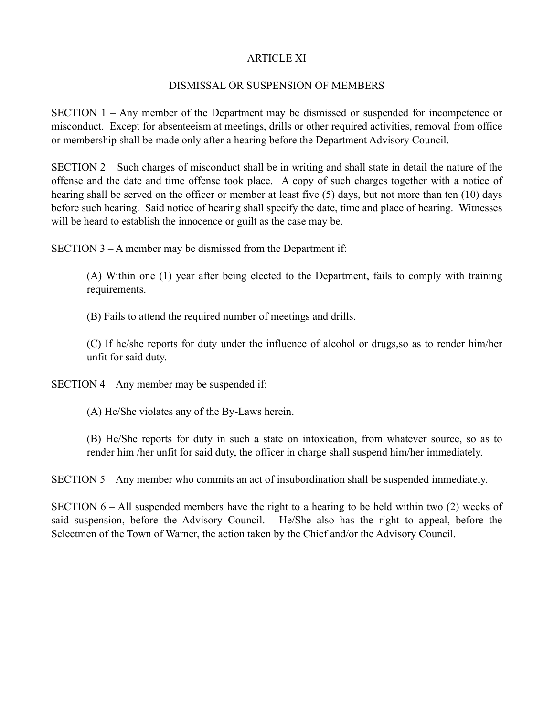#### ARTICLE XI

### DISMISSAL OR SUSPENSION OF MEMBERS

SECTION 1 – Any member of the Department may be dismissed or suspended for incompetence or misconduct. Except for absenteeism at meetings, drills or other required activities, removal from office or membership shall be made only after a hearing before the Department Advisory Council.

SECTION 2 – Such charges of misconduct shall be in writing and shall state in detail the nature of the offense and the date and time offense took place. A copy of such charges together with a notice of hearing shall be served on the officer or member at least five (5) days, but not more than ten (10) days before such hearing. Said notice of hearing shall specify the date, time and place of hearing. Witnesses will be heard to establish the innocence or guilt as the case may be.

SECTION 3 – A member may be dismissed from the Department if:

(A) Within one (1) year after being elected to the Department, fails to comply with training requirements.

(B) Fails to attend the required number of meetings and drills.

(C) If he/she reports for duty under the influence of alcohol or drugs,so as to render him/her unfit for said duty.

SECTION 4 – Any member may be suspended if:

(A) He/She violates any of the By-Laws herein.

(B) He/She reports for duty in such a state on intoxication, from whatever source, so as to render him /her unfit for said duty, the officer in charge shall suspend him/her immediately.

SECTION 5 – Any member who commits an act of insubordination shall be suspended immediately.

SECTION 6 – All suspended members have the right to a hearing to be held within two (2) weeks of said suspension, before the Advisory Council. He/She also has the right to appeal, before the Selectmen of the Town of Warner, the action taken by the Chief and/or the Advisory Council.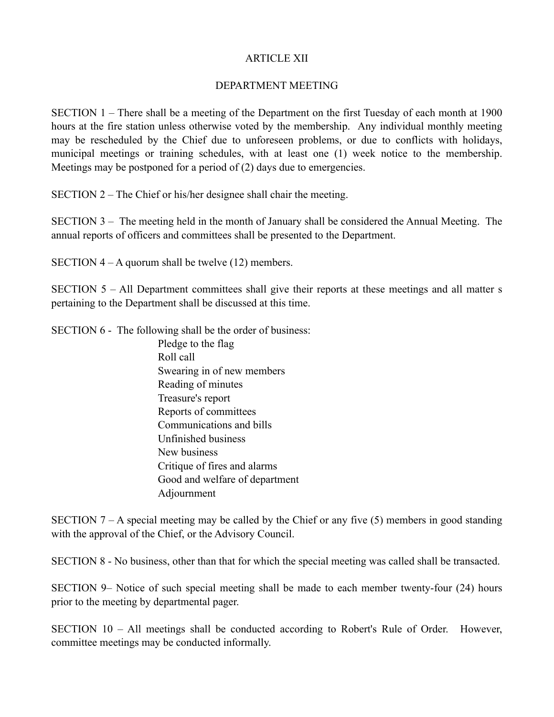#### ARTICLE XII

#### DEPARTMENT MEETING

SECTION 1 – There shall be a meeting of the Department on the first Tuesday of each month at 1900 hours at the fire station unless otherwise voted by the membership. Any individual monthly meeting may be rescheduled by the Chief due to unforeseen problems, or due to conflicts with holidays, municipal meetings or training schedules, with at least one (1) week notice to the membership. Meetings may be postponed for a period of (2) days due to emergencies.

SECTION 2 – The Chief or his/her designee shall chair the meeting.

SECTION 3 – The meeting held in the month of January shall be considered the Annual Meeting. The annual reports of officers and committees shall be presented to the Department.

SECTION 4 – A quorum shall be twelve (12) members.

SECTION 5 – All Department committees shall give their reports at these meetings and all matter s pertaining to the Department shall be discussed at this time.

SECTION 6 - The following shall be the order of business:

Pledge to the flag Roll call Swearing in of new members Reading of minutes Treasure's report Reports of committees Communications and bills Unfinished business New business Critique of fires and alarms Good and welfare of department Adjournment

SECTION 7 – A special meeting may be called by the Chief or any five (5) members in good standing with the approval of the Chief, or the Advisory Council.

SECTION 8 - No business, other than that for which the special meeting was called shall be transacted.

SECTION 9– Notice of such special meeting shall be made to each member twenty-four (24) hours prior to the meeting by departmental pager.

SECTION 10 – All meetings shall be conducted according to Robert's Rule of Order. However, committee meetings may be conducted informally.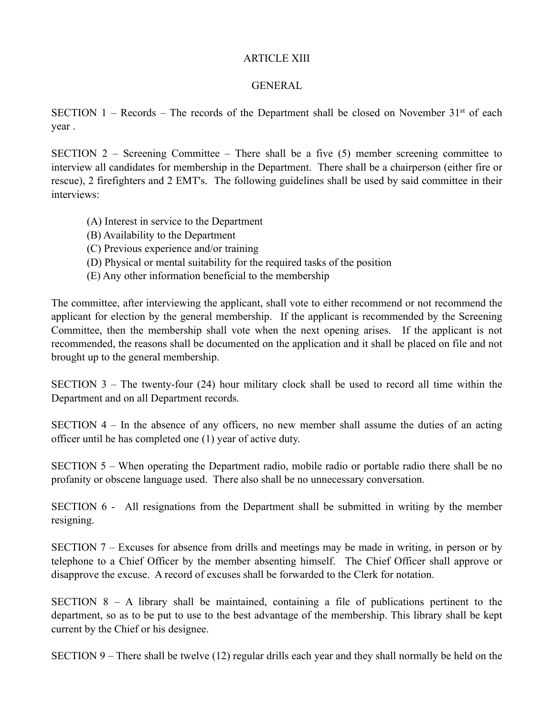#### ARTICLE XIII

#### **GENERAL**

SECTION 1 – Records – The records of the Department shall be closed on November  $31<sup>st</sup>$  of each year .

SECTION 2 – Screening Committee – There shall be a five (5) member screening committee to interview all candidates for membership in the Department. There shall be a chairperson (either fire or rescue), 2 firefighters and 2 EMT's. The following guidelines shall be used by said committee in their interviews:

- (A) Interest in service to the Department
- (B) Availability to the Department
- (C) Previous experience and/or training
- (D) Physical or mental suitability for the required tasks of the position
- (E) Any other information beneficial to the membership

The committee, after interviewing the applicant, shall vote to either recommend or not recommend the applicant for election by the general membership. If the applicant is recommended by the Screening Committee, then the membership shall vote when the next opening arises. If the applicant is not recommended, the reasons shall be documented on the application and it shall be placed on file and not brought up to the general membership.

SECTION 3 – The twenty-four (24) hour military clock shall be used to record all time within the Department and on all Department records.

SECTION 4 – In the absence of any officers, no new member shall assume the duties of an acting officer until he has completed one (1) year of active duty.

SECTION 5 – When operating the Department radio, mobile radio or portable radio there shall be no profanity or obscene language used. There also shall be no unnecessary conversation.

SECTION 6 - All resignations from the Department shall be submitted in writing by the member resigning.

SECTION 7 – Excuses for absence from drills and meetings may be made in writing, in person or by telephone to a Chief Officer by the member absenting himself. The Chief Officer shall approve or disapprove the excuse. A record of excuses shall be forwarded to the Clerk for notation.

SECTION  $8 - A$  library shall be maintained, containing a file of publications pertinent to the department, so as to be put to use to the best advantage of the membership. This library shall be kept current by the Chief or his designee.

SECTION 9 – There shall be twelve (12) regular drills each year and they shall normally be held on the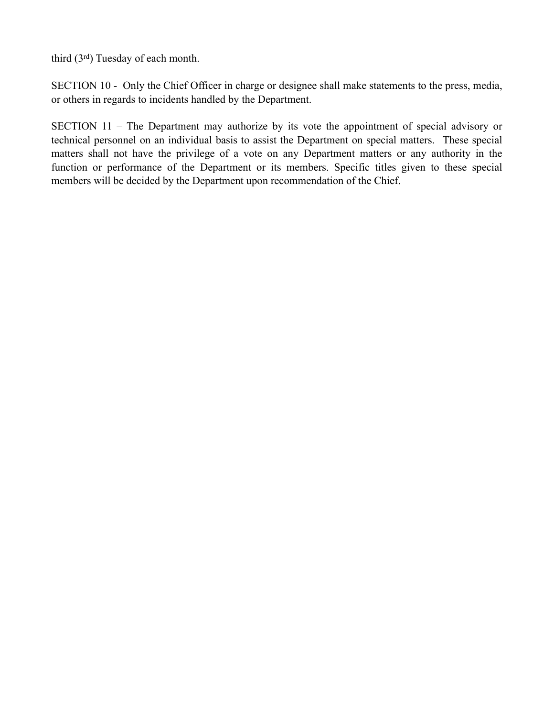third (3rd) Tuesday of each month.

SECTION 10 - Only the Chief Officer in charge or designee shall make statements to the press, media, or others in regards to incidents handled by the Department.

SECTION 11 – The Department may authorize by its vote the appointment of special advisory or technical personnel on an individual basis to assist the Department on special matters. These special matters shall not have the privilege of a vote on any Department matters or any authority in the function or performance of the Department or its members. Specific titles given to these special members will be decided by the Department upon recommendation of the Chief.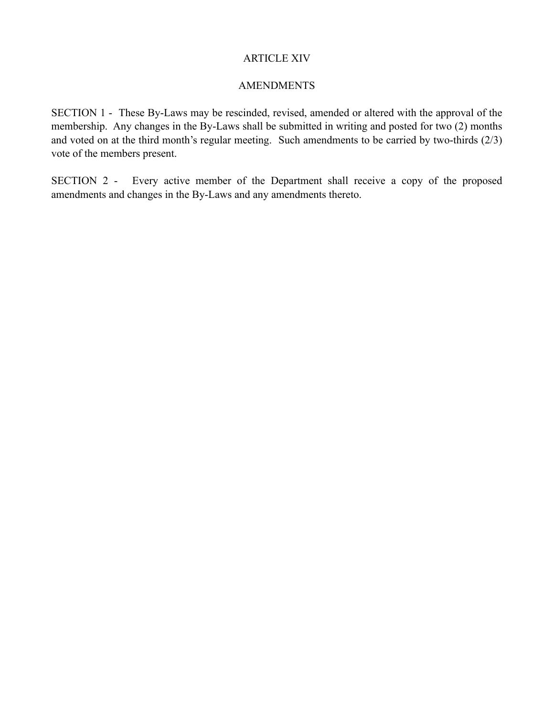#### ARTICLE XIV

### AMENDMENTS

SECTION 1 - These By-Laws may be rescinded, revised, amended or altered with the approval of the membership. Any changes in the By-Laws shall be submitted in writing and posted for two (2) months and voted on at the third month's regular meeting. Such amendments to be carried by two-thirds (2/3) vote of the members present.

SECTION 2 - Every active member of the Department shall receive a copy of the proposed amendments and changes in the By-Laws and any amendments thereto.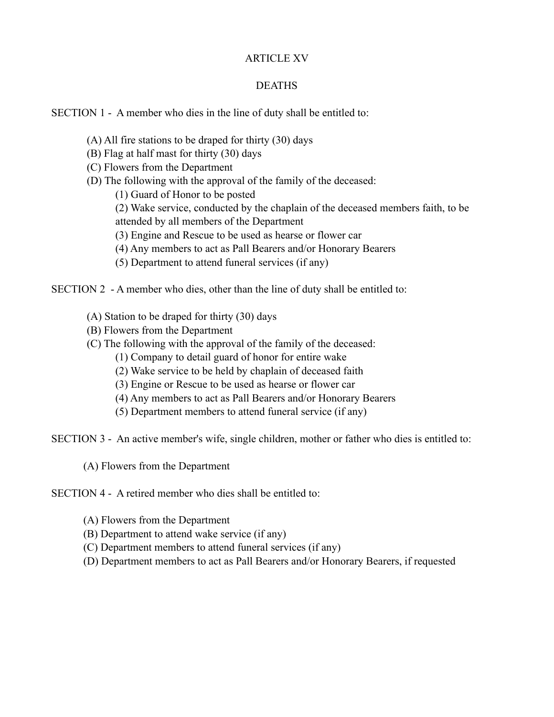### ARTICLE XV

### DEATHS

### SECTION 1 - A member who dies in the line of duty shall be entitled to:

- (A) All fire stations to be draped for thirty (30) days
- (B) Flag at half mast for thirty (30) days
- (C) Flowers from the Department
- (D) The following with the approval of the family of the deceased:
	- (1) Guard of Honor to be posted
	- (2) Wake service, conducted by the chaplain of the deceased members faith, to be
	- attended by all members of the Department
	- (3) Engine and Rescue to be used as hearse or flower car
	- (4) Any members to act as Pall Bearers and/or Honorary Bearers
	- (5) Department to attend funeral services (if any)

SECTION 2 - A member who dies, other than the line of duty shall be entitled to:

- (A) Station to be draped for thirty (30) days
- (B) Flowers from the Department
- (C) The following with the approval of the family of the deceased:
	- (1) Company to detail guard of honor for entire wake
	- (2) Wake service to be held by chaplain of deceased faith
	- (3) Engine or Rescue to be used as hearse or flower car
	- (4) Any members to act as Pall Bearers and/or Honorary Bearers
	- (5) Department members to attend funeral service (if any)

SECTION 3 - An active member's wife, single children, mother or father who dies is entitled to:

(A) Flowers from the Department

SECTION 4 - A retired member who dies shall be entitled to:

- (A) Flowers from the Department
- (B) Department to attend wake service (if any)
- (C) Department members to attend funeral services (if any)
- (D) Department members to act as Pall Bearers and/or Honorary Bearers, if requested